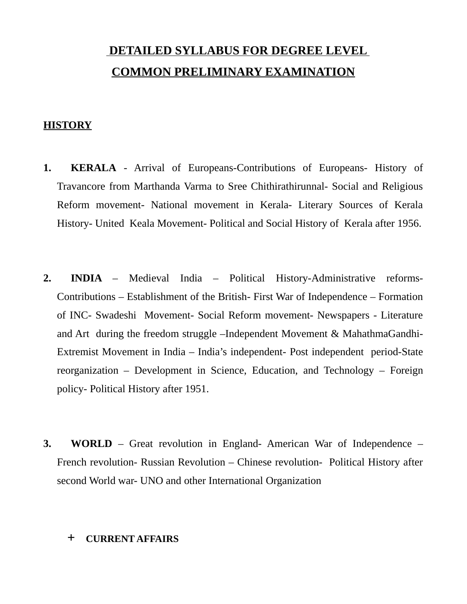# **DETAILED SYLLABUS FOR DEGREE LEVEL COMMON PRELIMINARY EXAMINATION**

### **HISTORY**

- **1. KERALA** Arrival of Europeans-Contributions of Europeans- History of Travancore from Marthanda Varma to Sree Chithirathirunnal- Social and Religious Reform movement- National movement in Kerala- Literary Sources of Kerala History- United Keala Movement- Political and Social History of Kerala after 1956.
- **2. INDIA**  Medieval India Political History-Administrative reforms-Contributions – Establishment of the British- First War of Independence – Formation of INC- Swadeshi Movement- Social Reform movement- Newspapers - Literature and Art during the freedom struggle –Independent Movement & MahathmaGandhi-Extremist Movement in India – India's independent- Post independent period-State reorganization – Development in Science, Education, and Technology – Foreign policy- Political History after 1951.
- **3. WORLD** Great revolution in England- American War of Independence French revolution- Russian Revolution – Chinese revolution- Political History after second World war- UNO and other International Organization

### **+ CURRENT AFFAIRS**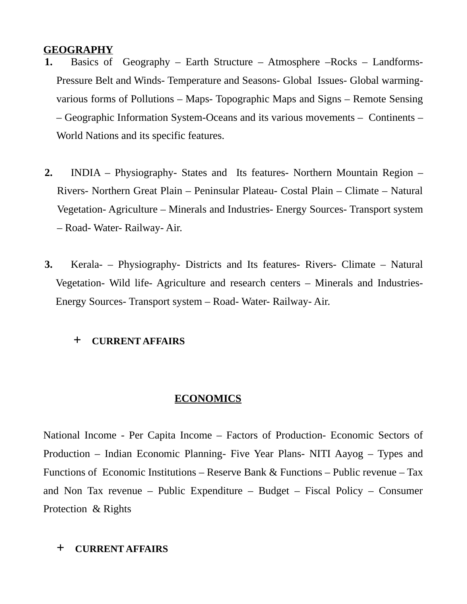## **GEOGRAPHY**

- **1.** Basics of Geography Earth Structure Atmosphere –Rocks Landforms-Pressure Belt and Winds- Temperature and Seasons- Global Issues- Global warmingvarious forms of Pollutions – Maps- Topographic Maps and Signs – Remote Sensing – Geographic Information System-Oceans and its various movements – Continents – World Nations and its specific features.
- **2.** INDIA Physiography- States and Its features- Northern Mountain Region Rivers- Northern Great Plain – Peninsular Plateau- Costal Plain – Climate – Natural Vegetation- Agriculture – Minerals and Industries- Energy Sources- Transport system – Road- Water- Railway- Air.
- **3.** Kerala- Physiography- Districts and Its features- Rivers- Climate Natural Vegetation- Wild life- Agriculture and research centers – Minerals and Industries-Energy Sources- Transport system – Road- Water- Railway- Air.

## **+ CURRENT AFFAIRS**

## **ECONOMICS**

National Income - Per Capita Income – Factors of Production- Economic Sectors of Production – Indian Economic Planning- Five Year Plans- NITI Aayog – Types and Functions of Economic Institutions – Reserve Bank & Functions – Public revenue – Tax and Non Tax revenue – Public Expenditure – Budget – Fiscal Policy – Consumer Protection & Rights

### **+ CURRENT AFFAIRS**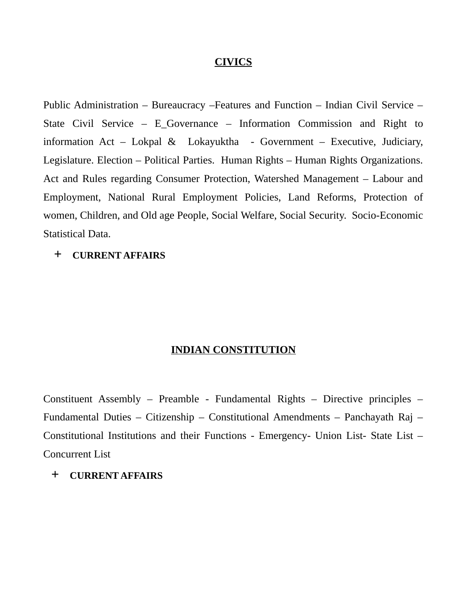#### **CIVICS**

Public Administration – Bureaucracy –Features and Function – Indian Civil Service – State Civil Service – E\_Governance – Information Commission and Right to information Act – Lokpal & Lokayuktha - Government – Executive, Judiciary, Legislature. Election – Political Parties. Human Rights – Human Rights Organizations. Act and Rules regarding Consumer Protection, Watershed Management – Labour and Employment, National Rural Employment Policies, Land Reforms, Protection of women, Children, and Old age People, Social Welfare, Social Security. Socio-Economic Statistical Data.

#### **+ CURRENT AFFAIRS**

#### **INDIAN CONSTITUTION**

Constituent Assembly – Preamble - Fundamental Rights – Directive principles – Fundamental Duties – Citizenship – Constitutional Amendments – Panchayath Raj – Constitutional Institutions and their Functions - Emergency- Union List- State List – Concurrent List

### **+ CURRENT AFFAIRS**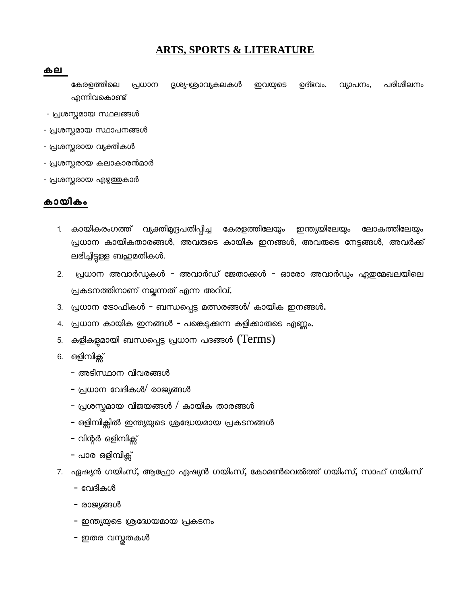## **ARTS, SPORTS & LITERATURE**

#### കല

കേരളത്തിലെ പ്രധാന ദൃശ്യ-ശ്രാവ്യകലകൾ ഇവയുടെ ഉദ്ഭവം, വ്യാപനം, പരിശീലനം എന്നിവകൊണ്ട്

- പ്രശ്സ്തമായ സ്ഥലങ്ങള്
- പ്രശ്സ്തമായ സ്ഥാപനങ്ങള്
- പ്രശസ്തരായ വ്യക്തികൾ
- പ്രശ്സ്തരായ കലാകാരന്മാര്
- പ്രശ്സ്തരായ എഴുത്തുകാര്

#### കായിലകം

- 1. കായികരംഗത്ത് വ്യക്തിമുദ്രപതിപ്പിച്ച കേരളത്തിലേയും ഇന്ത്യയിലേയും ലോകത്തിലേയും പ്രധാന കായിലകതാരങ്ങള്, അവ്രുടെടെ കായിലക ഇനങ്ങള്, അവ്രുടെടെ േനട്ടങ്ങള്, അവ്ര്ക്ക് ലഭിച്ചിട്ടുള്ള ബഹുമതികൾ.
- 2. പ്രധാന അവാർഡുകൾ അവാർഡ് ജേതാക്കൾ ഓരോ അവാർഡും ഏഇമേഖലയിലെ പ്രകടനത്തിനാണ് നല്ലന്നത് എന്ന അറിവ്.
- 3. പ്രധാന ട്രോഫികൾ ബന്ധപ്പെട്ട മത്സരങ്ങൾ $\prime$  കായിക ഇനങ്ങൾ $\boldsymbol{\cdot}$
- 4. പ്രധാന കായിക ഇനങ്ങൾ പങ്കെടുക്കുന്ന കളിക്കാരുടെ എണ്ണം**.**
- 5. കളികളുമായി ബന്ധപ്പെട്ട പ്രധാന പദങ്ങൾ  $(\mathrm{Terms})$
- 6. ഒളിമ്പിക്സ്
	- അടെിലസ്ഥാന വ്ിലവ്രങ്ങള്
	- പ്രധാന വേദികൾ/ രാജ്യങ്ങൾ
	- പ്രശസ്തമായ വിജയങ്ങൾ / കായിക താരങ്ങൾ
	- ഒളിമ്പിക്സിൽ ഇന്ത്യയുടെ ശ്രദ്ധേയമായ പ്രകടനങ്ങൾ
	- വിന്റർ ഒളിമ്പിക്സ്
	- പാര ഒളിമ്പിക്സ്
- 7. ഏഷ്യൻ ഗയിംസ്, ആഫ്രോ ഏഷ്യൻ ഗയിംസ്, കോമൺവെൽത്ത് ഗയിംസ്, സാഫ് ഗയിംസ്
	- വേദികൾ
	- രാജ്യങ്ങൾ
	- ഇന്ത്യയുടെ ശ്രദ്ധേയമായ പ്രകടനം
	- ഇതര വസ്തതകൾ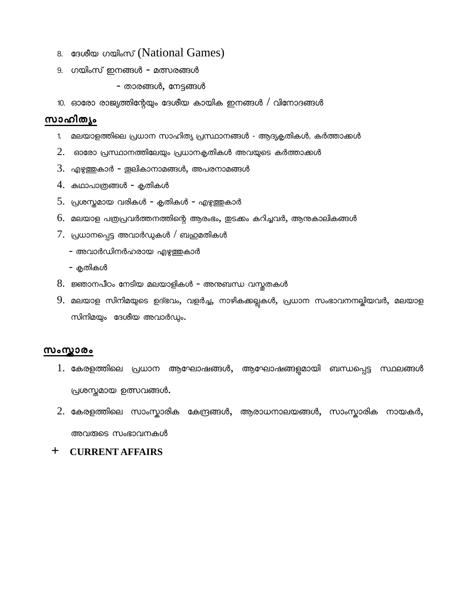- 8. ദേശീയ ഗയിംസ് (National Games)
- 9. ഗയിലംസ് ഇനങ്ങള് മതരങ്ങള്

- താരങ്ങള്, േനട്ടങ്ങള്

10. ഓരോ രാജ്യത്തിന്റേയും ദേശീയ കായിക ഇനങ്ങൾ / വിനോദങ്ങൾ

#### സാഹിത്യം

- 1. മലയാളത്തിലെ പ്രധാന സാഹിത്യ പ്രസ്ഥാനങ്ങൾ ആദ്യക്ലതികൾ, കർത്താക്കൾ
- 2. ഓരോ പ്രസ്ഥാനത്തിലേയും പ്രധാനകൃതികൾ അവയുടെ കർത്താക്കൾ
- 3. എഴുത്തുകാര് തലിലകാനാമങ്ങള്, അപരനാമങ്ങള്
- $4.$  കഥാപാത്രങ്ങൾ കൃതികൾ
- 5. പ്രശസ്തമായ വരികൾ കൃതികൾ എഴുത്തുകാർ
- $6.$  മലയാള പത്രപ്രവർത്തനത്തിന്റെ ആരംഭം, ഇടക്കം കറിച്ചവർ, ആനുകാലികങ്ങൾ
- $7.$  പ്രധാനപ്പെട്ട അവാർഡുകൾ / ബഹ്മമതികൾ
	- അവ്ാര്ഡിലനര്ഹരായ എഴുത്തുകാര്
	- കൃതികൾ
- 8. ജ്ഞാനപീഠം നേടിയ മലയാളികൾ അനുബന്ധ വസ്തതകൾ
- $9$ . മലയാള സിനിമയുടെ ഉദ്ഭവം, വളർച്ച, നാഴികക്കല്ലകൾ, പ്രധാന സംഭാവനനല്ലിയവർ, മലയാള സിനിമയും ദേശീയ അവാർഡും.

#### സംസ്കാരം

- 1. കേരളത്തിലെ പ്രധാന ആഘോഷങ്ങൾ, ആഘോഷങ്ങളമായി ബന്ധപ്പെട്ട സ്ഥലങ്ങൾ പ്രശ്സ്തമായ ഉതവ്ങ്ങള്.
- 2. കേരളത്തിലെ സാംസ്കാരിക കേന്ദ്രങ്ങൾ, ആരാധനാലയങ്ങൾ, സാംസ്കാരിക നായകർ, അവരുടെ സംഭാവനകൾ
- **+ CURRENT AFFAIRS**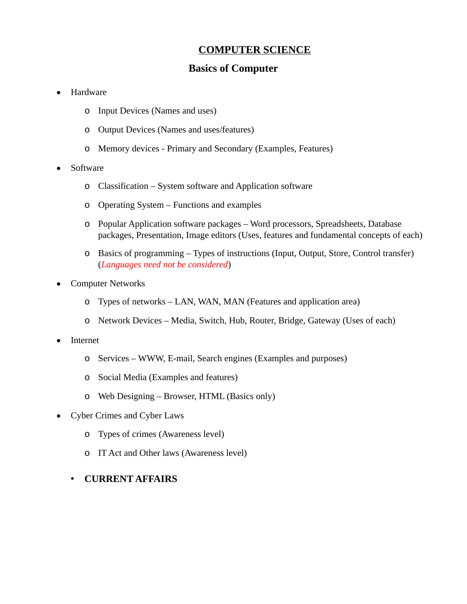## **COMPUTER SCIENCE**

## **Basics of Computer**

- Hardware
	- o Input Devices (Names and uses)
	- o Output Devices (Names and uses/features)
	- o Memory devices Primary and Secondary (Examples, Features)
- Software
	- o Classification System software and Application software
	- o Operating System Functions and examples
	- o Popular Application software packages Word processors, Spreadsheets, Database packages, Presentation, Image editors (Uses, features and fundamental concepts of each)
	- o Basics of programming Types of instructions (Input, Output, Store, Control transfer) (*Languages need not be considered*)
- Computer Networks
	- o Types of networks LAN, WAN, MAN (Features and application area)
	- o Network Devices Media, Switch, Hub, Router, Bridge, Gateway (Uses of each)
- Internet
	- o Services WWW, E-mail, Search engines (Examples and purposes)
	- o Social Media (Examples and features)
	- o Web Designing Browser, HTML (Basics only)
- Cyber Crimes and Cyber Laws
	- o Types of crimes (Awareness level)
	- o IT Act and Other laws (Awareness level)
	- **CURRENT AFFAIRS**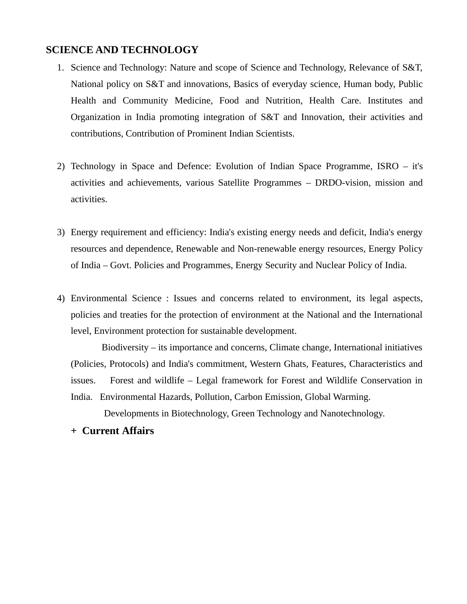## **SCIENCE AND TECHNOLOGY**

- 1. Science and Technology: Nature and scope of Science and Technology, Relevance of S&T, National policy on S&T and innovations, Basics of everyday science, Human body, Public Health and Community Medicine, Food and Nutrition, Health Care. Institutes and Organization in India promoting integration of S&T and Innovation, their activities and contributions, Contribution of Prominent Indian Scientists.
- 2) Technology in Space and Defence: Evolution of Indian Space Programme, ISRO it's activities and achievements, various Satellite Programmes – DRDO-vision, mission and activities.
- 3) Energy requirement and efficiency: India's existing energy needs and deficit, India's energy resources and dependence, Renewable and Non-renewable energy resources, Energy Policy of India – Govt. Policies and Programmes, Energy Security and Nuclear Policy of India.
- 4) Environmental Science : Issues and concerns related to environment, its legal aspects, policies and treaties for the protection of environment at the National and the International level, Environment protection for sustainable development.

 Biodiversity – its importance and concerns, Climate change, International initiatives (Policies, Protocols) and India's commitment, Western Ghats, Features, Characteristics and issues. Forest and wildlife – Legal framework for Forest and Wildlife Conservation in India. Environmental Hazards, Pollution, Carbon Emission, Global Warming.

Developments in Biotechnology, Green Technology and Nanotechnology.

#### **+ Current Affairs**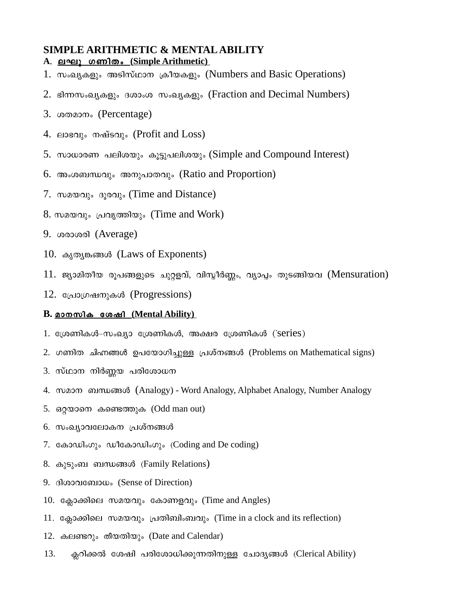#### **SIMPLE ARITHMETIC & MENTAL ABILITY**  <u>A. ലഘു ഗണിതം (Simple Arithmetic)</u>

- 1. സംഖ്യകളും അടിസ്ഥാന ക്രീയകളും (Numbers and Basic Operations)
- 2. ഭിന്നസംഖ്യകളും ദശാംശ സംഖ്യകളും (Fraction and Decimal Numbers)
- 3. GMADO (Percentage)
- 4. ലാഭവും നഷ്ടവും (Profit and Loss)
- 5. സാധാരണ പലിശയും കൂട്ടുപലിശയും (Simple and Compound Interest)
- 6. അംശബന്ധവും അനുപാതവും (Ratio and Proportion)
- 7. സമയവും ദുരവും (Time and Distance)
- 8. സമയവും പ്രവൃത്തിയും (Time and Work)
- 9. ശരാശരി (Average)
- 10. കൃത്യങ്കങ്ങൾ (Laws of Exponents)
- $11.$  ജ്യാമിതീയ രൂപങ്ങളുടെ ചുറ്റളവ്, വിസ്തീർണ്ണം, വ്യാപ്പം തുടങ്ങിയവ (Mensuration)
- 12. പ്രോഗ്രഷനുകൾ (Progressions)

#### **B.** മാനസിക ശേഷി (Mental Ability)

- 1. ശ്രേണികൾ–സംഖ്യാ ശ്രേണികൾ, അക്ഷര ശ്രേണികൾ ('series)
- 2. ഗണിത ചിഹ്നങ്ങൾ ഉപയോഗിച്ചുള്ള പ്രശ്നങ്ങൾ (Problems on Mathematical signs)
- 3. സ്ഥാന നിർണ്ണയ പരിശോധന
- 4. സമാന ബന്ധങ്ങൾ (Analogy) Word Analogy, Alphabet Analogy, Number Analogy
- 5. ഒറ്റയാനെ കണ്ടെത്തുക (Odd man out)
- $6.$  സംഖ്യാവലോകന പ്രശ്നങ്ങൾ
- 7. കോഡിംഗും ഡീകോഡിംഗും (Coding and De coding)
- 8. കൂടുംബ ബന്ധങ്ങൾ (Family Relations)
- 9. ദിശാവബോധം (Sense of Direction)
- 10. ക്ലോക്കിലെ സമയവും കോണളവും (Time and Angles)
- 11. ക്ലോക്കിലെ സമയവും പ്രതിബിംബവും (Time in a clock and its reflection)
- 12. കലണ്ടറും തീയതിയും (Date and Calendar)
- 13. ക്ലറിക്കൽ ശേഷി പരിശോധിക്കുന്നതിനുള്ള ചോദ്യങ്ങൾ (Clerical Ability)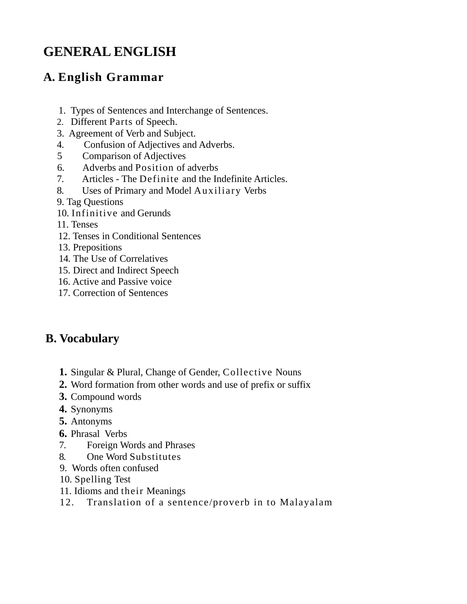# **GENERAL ENGLISH**

## **A. English Grammar**

- 1. Types of Sentences and Interchange of Sentences.
- 2. Different Parts of Speech.
- 3. Agreement of Verb and Subject.
- 4. Confusion of Adjectives and Adverbs.
- 5 Comparison of Adjectives
- 6. Adverbs and Position of adverbs
- 7. Articles The Definite and the Indefinite Articles.
- 8. Uses of Primary and Model Auxiliary Verbs
- 9. Tag Questions
- 10. Infinitive and Gerunds
- 11. Tenses
- 12. Tenses in Conditional Sentences
- 13. Prepositions
- 14. The Use of Correlatives
- 15. Direct and Indirect Speech
- 16. Active and Passive voice
- 17. Correction of Sentences

## **B. Vocabulary**

- **1.** Singular & Plural, Change of Gender, Collective Nouns
- **2.** Word formation from other words and use of prefix or suffix
- **3.** Compound words
- **4.** Synonyms
- **5.** Antonyms
- **6.** Phrasal Verbs
- 7. Foreign Words and Phrases
- 8. One Word Substitutes
- 9. Words often confused
- 10. Spelling Test
- 11. Idioms and their Meanings
- 12. Translation of a sentence/proverb in to Malayalam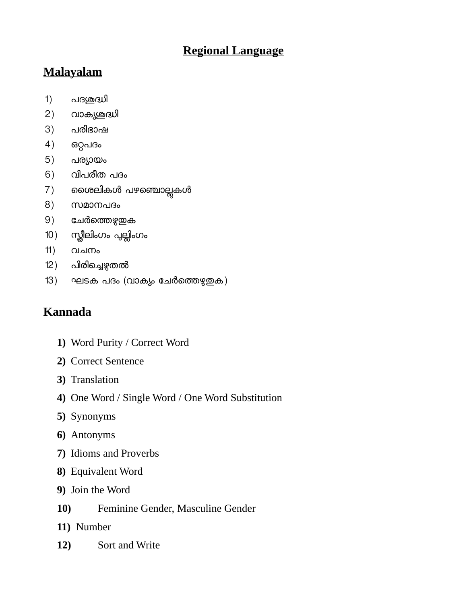## **Regional Language**

## **Malayalam**

- 1) പദക്രദ്ധി
- 2) വാകൃശ്രദ്ധി
- 3) പരിലഭാഷ
- 4) ഒറ്റപദം
- $5)$  പര്യായം
- 6) വ്ിലപരീത പദം
- 7) ഒെശലികൾ പഴഞ്ചൊല്ലകൾ
- 8) സമാനപദം
- 9) േചര്െത്തഴുതക
- 10) സ്ത്രീലിലംഗം പുല്ലിലംഗം
- 11) വ്ചനം
- 12) പിരിച്ചെഴുതൽ
- 13) ഘടക പദം (വാക്യം ചേർത്തെഴുതുക)

## **Kannada**

- **1)** Word Purity / Correct Word
- **2)** Correct Sentence
- **3)** Translation
- **4)** One Word / Single Word / One Word Substitution
- **5)** Synonyms
- **6)** Antonyms
- **7)** Idioms and Proverbs
- **8)** Equivalent Word
- **9)** Join the Word
- **10)** Feminine Gender, Masculine Gender
- **11)** Number
- **12)** Sort and Write